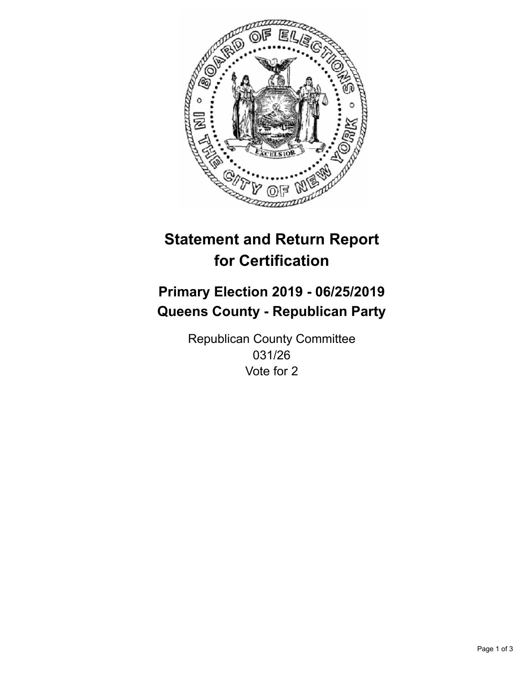

## **Statement and Return Report for Certification**

## **Primary Election 2019 - 06/25/2019 Queens County - Republican Party**

Republican County Committee 031/26 Vote for 2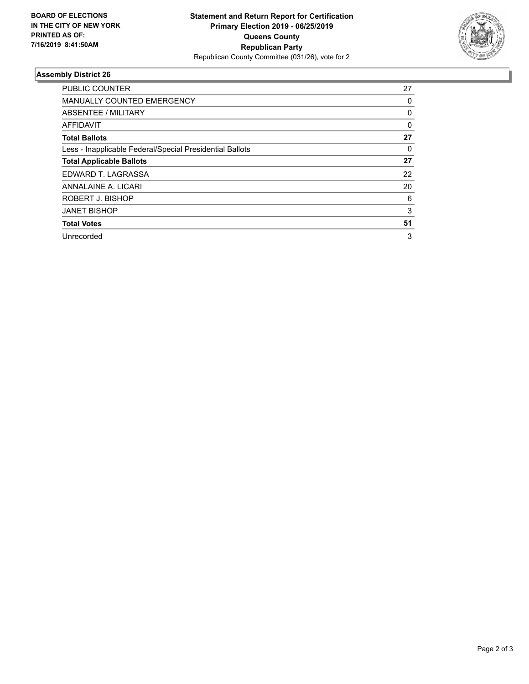

## **Assembly District 26**

| <b>PUBLIC COUNTER</b>                                    | 27       |
|----------------------------------------------------------|----------|
| <b>MANUALLY COUNTED EMERGENCY</b>                        | 0        |
| ABSENTEE / MILITARY                                      | 0        |
| AFFIDAVIT                                                | $\Omega$ |
| <b>Total Ballots</b>                                     | 27       |
| Less - Inapplicable Federal/Special Presidential Ballots | 0        |
| <b>Total Applicable Ballots</b>                          | 27       |
| EDWARD T. LAGRASSA                                       | 22       |
| ANNALAINE A. LICARI                                      | 20       |
| ROBERT J. BISHOP                                         | 6        |
| <b>JANET BISHOP</b>                                      | 3        |
| <b>Total Votes</b>                                       | 51       |
| Unrecorded                                               | 3        |